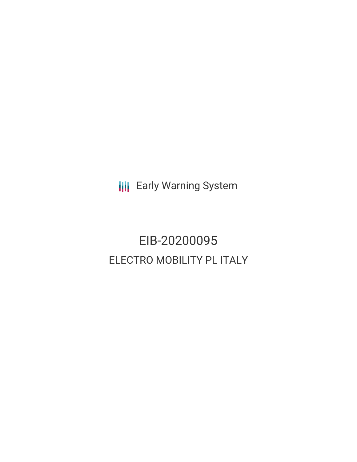**III** Early Warning System

EIB-20200095 ELECTRO MOBILITY PL ITALY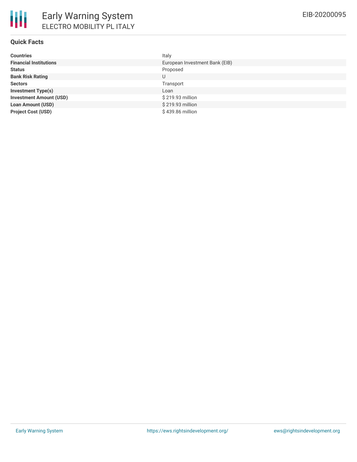## **Quick Facts**

| <b>Countries</b>               | Italy                          |
|--------------------------------|--------------------------------|
| <b>Financial Institutions</b>  | European Investment Bank (EIB) |
| <b>Status</b>                  | Proposed                       |
| <b>Bank Risk Rating</b>        | U                              |
| <b>Sectors</b>                 | Transport                      |
| <b>Investment Type(s)</b>      | Loan                           |
| <b>Investment Amount (USD)</b> | \$219.93 million               |
| <b>Loan Amount (USD)</b>       | \$219.93 million               |
| <b>Project Cost (USD)</b>      | \$439.86 million               |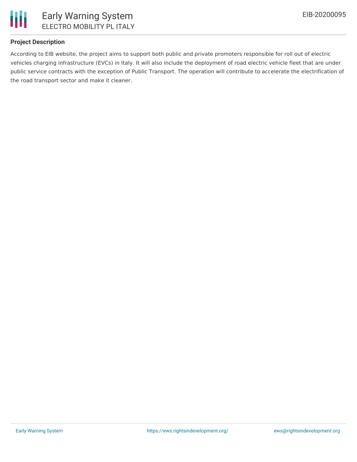

## **Project Description**

According to EIB website, the project aims to support both public and private promoters responsible for roll out of electric vehicles charging infrastructure (EVCs) in Italy. It will also include the deployment of road electric vehicle fleet that are under public service contracts with the exception of Public Transport. The operation will contribute to accelerate the electrification of the road transport sector and make it cleaner.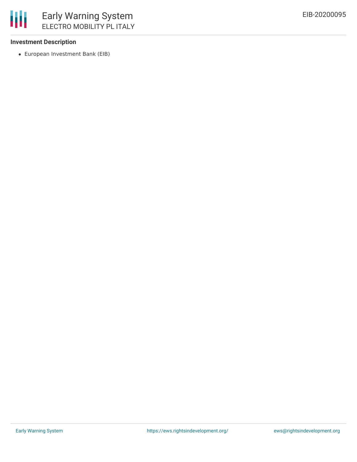

#### **Investment Description**

European Investment Bank (EIB)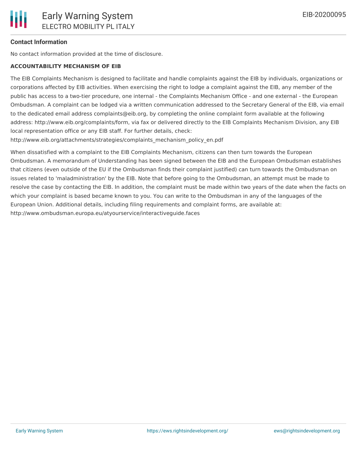# **Contact Information**

No contact information provided at the time of disclosure.

# **ACCOUNTABILITY MECHANISM OF EIB**

The EIB Complaints Mechanism is designed to facilitate and handle complaints against the EIB by individuals, organizations or corporations affected by EIB activities. When exercising the right to lodge a complaint against the EIB, any member of the public has access to a two-tier procedure, one internal - the Complaints Mechanism Office - and one external - the European Ombudsman. A complaint can be lodged via a written communication addressed to the Secretary General of the EIB, via email to the dedicated email address complaints@eib.org, by completing the online complaint form available at the following address: http://www.eib.org/complaints/form, via fax or delivered directly to the EIB Complaints Mechanism Division, any EIB local representation office or any EIB staff. For further details, check:

http://www.eib.org/attachments/strategies/complaints\_mechanism\_policy\_en.pdf

When dissatisfied with a complaint to the EIB Complaints Mechanism, citizens can then turn towards the European Ombudsman. A memorandum of Understanding has been signed between the EIB and the European Ombudsman establishes that citizens (even outside of the EU if the Ombudsman finds their complaint justified) can turn towards the Ombudsman on issues related to 'maladministration' by the EIB. Note that before going to the Ombudsman, an attempt must be made to resolve the case by contacting the EIB. In addition, the complaint must be made within two years of the date when the facts on which your complaint is based became known to you. You can write to the Ombudsman in any of the languages of the European Union. Additional details, including filing requirements and complaint forms, are available at: http://www.ombudsman.europa.eu/atyourservice/interactiveguide.faces